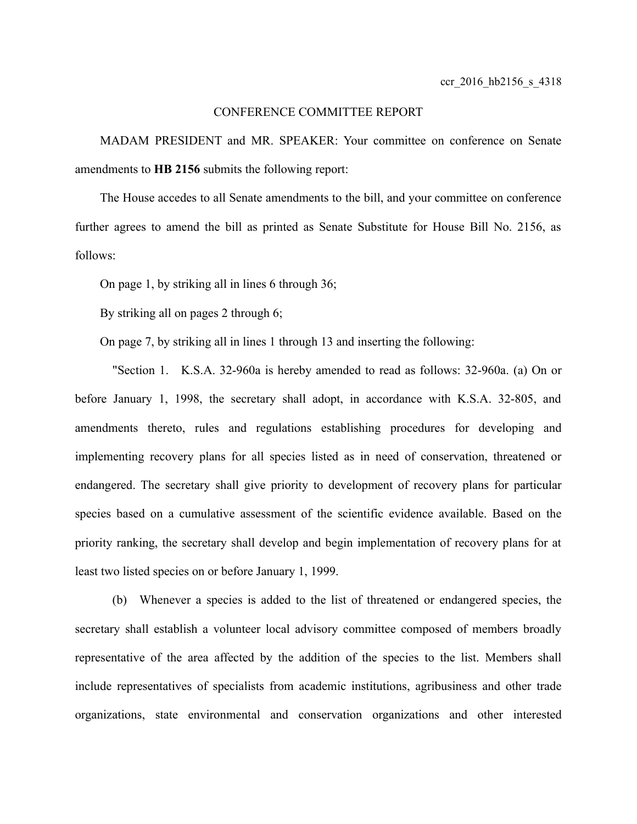## CONFERENCE COMMITTEE REPORT

MADAM PRESIDENT and MR. SPEAKER: Your committee on conference on Senate amendments to **HB 2156** submits the following report:

The House accedes to all Senate amendments to the bill, and your committee on conference further agrees to amend the bill as printed as Senate Substitute for House Bill No. 2156, as follows:

On page 1, by striking all in lines 6 through 36;

By striking all on pages 2 through 6;

On page 7, by striking all in lines 1 through 13 and inserting the following:

"Section 1. K.S.A. 32-960a is hereby amended to read as follows: 32-960a. (a) On or before January 1, 1998, the secretary shall adopt, in accordance with K.S.A. 32-805, and amendments thereto, rules and regulations establishing procedures for developing and implementing recovery plans for all species listed as in need of conservation, threatened or endangered. The secretary shall give priority to development of recovery plans for particular species based on a cumulative assessment of the scientific evidence available. Based on the priority ranking, the secretary shall develop and begin implementation of recovery plans for at least two listed species on or before January 1, 1999.

(b) Whenever a species is added to the list of threatened or endangered species, the secretary shall establish a volunteer local advisory committee composed of members broadly representative of the area affected by the addition of the species to the list. Members shall include representatives of specialists from academic institutions, agribusiness and other trade organizations, state environmental and conservation organizations and other interested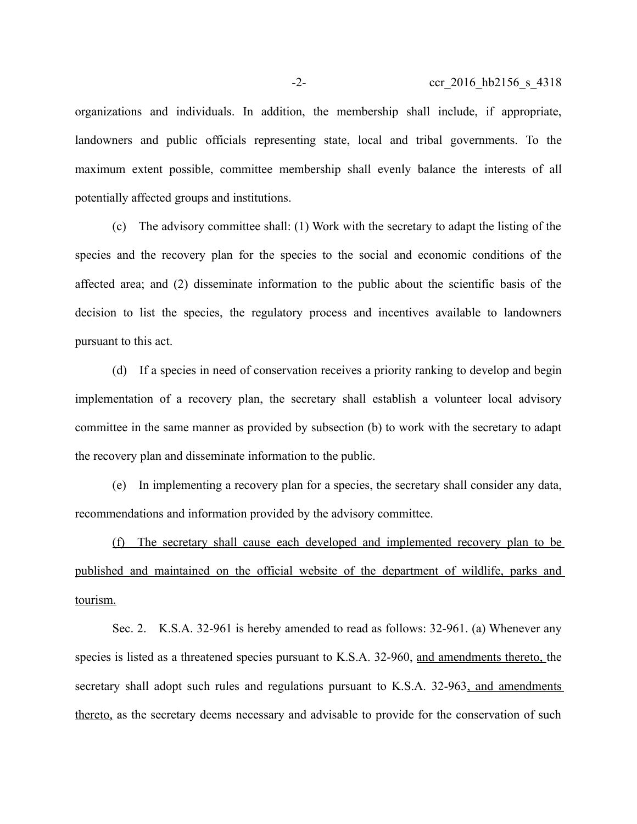organizations and individuals. In addition, the membership shall include, if appropriate, landowners and public officials representing state, local and tribal governments. To the maximum extent possible, committee membership shall evenly balance the interests of all potentially affected groups and institutions.

(c) The advisory committee shall: (1) Work with the secretary to adapt the listing of the species and the recovery plan for the species to the social and economic conditions of the affected area; and (2) disseminate information to the public about the scientific basis of the decision to list the species, the regulatory process and incentives available to landowners pursuant to this act.

(d) If a species in need of conservation receives a priority ranking to develop and begin implementation of a recovery plan, the secretary shall establish a volunteer local advisory committee in the same manner as provided by subsection (b) to work with the secretary to adapt the recovery plan and disseminate information to the public.

(e) In implementing a recovery plan for a species, the secretary shall consider any data, recommendations and information provided by the advisory committee.

(f) The secretary shall cause each developed and implemented recovery plan to be published and maintained on the official website of the department of wildlife, parks and tourism.

Sec. 2. K.S.A. 32-961 is hereby amended to read as follows: 32-961. (a) Whenever any species is listed as a threatened species pursuant to K.S.A. 32-960, and amendments thereto, the secretary shall adopt such rules and regulations pursuant to K.S.A. 32-963, and amendments thereto, as the secretary deems necessary and advisable to provide for the conservation of such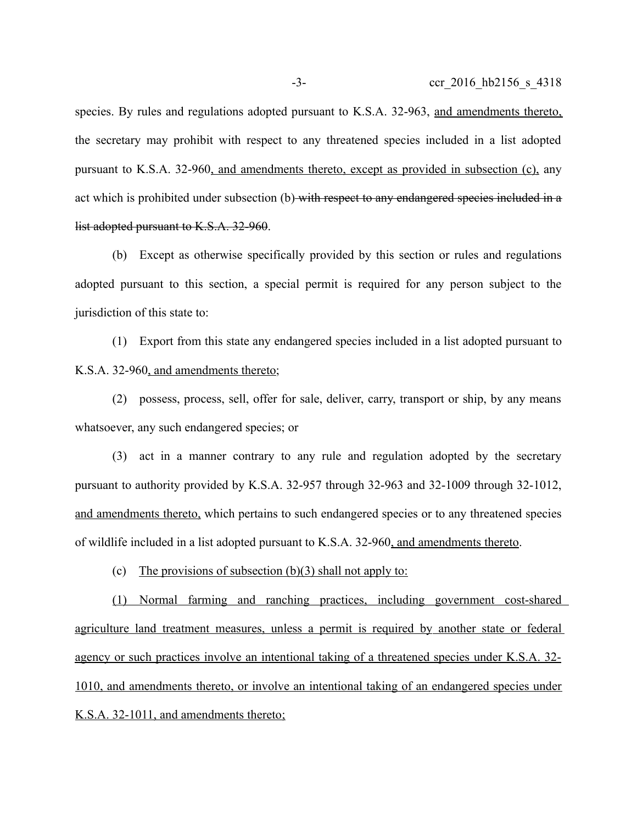species. By rules and regulations adopted pursuant to K.S.A. 32-963, and amendments thereto, the secretary may prohibit with respect to any threatened species included in a list adopted pursuant to K.S.A. 32-960, and amendments thereto, except as provided in subsection (c), any act which is prohibited under subsection (b) with respect to any endangered species included in a list adopted pursuant to K.S.A. 32-960.

(b) Except as otherwise specifically provided by this section or rules and regulations adopted pursuant to this section, a special permit is required for any person subject to the jurisdiction of this state to:

(1) Export from this state any endangered species included in a list adopted pursuant to K.S.A. 32-960, and amendments thereto;

(2) possess, process, sell, offer for sale, deliver, carry, transport or ship, by any means whatsoever, any such endangered species; or

(3) act in a manner contrary to any rule and regulation adopted by the secretary pursuant to authority provided by K.S.A. 32-957 through 32-963 and 32-1009 through 32-1012, and amendments thereto, which pertains to such endangered species or to any threatened species of wildlife included in a list adopted pursuant to K.S.A. 32-960, and amendments thereto.

(c) The provisions of subsection  $(b)(3)$  shall not apply to:

 (1) Normal farming and ranching practices, including government cost-shared agriculture land treatment measures, unless a permit is required by another state or federal agency or such practices involve an intentional taking of a threatened species under K.S.A. 32- 1010, and amendments thereto, or involve an intentional taking of an endangered species under K.S.A. 32-1011, and amendments thereto;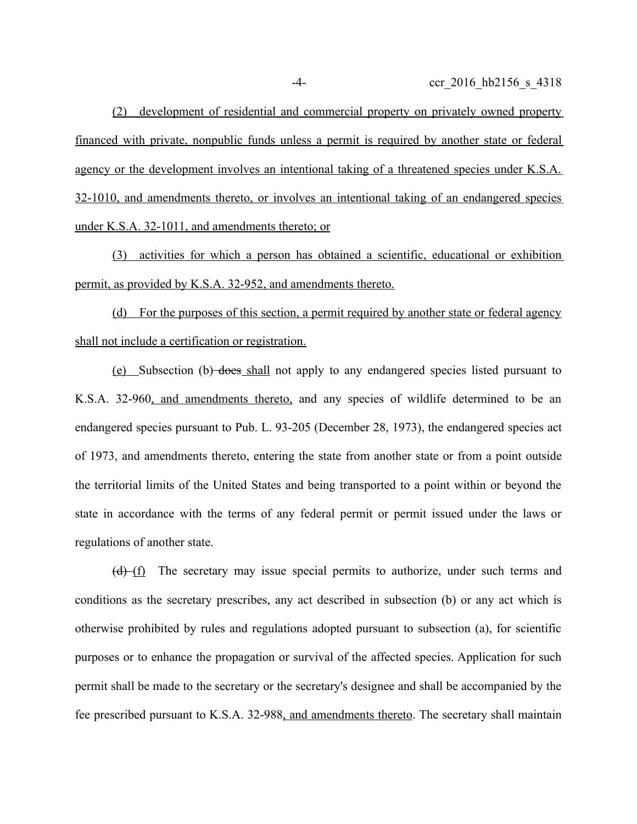(2) development of residential and commercial property on privately owned property financed with private, nonpublic funds unless a permit is required by another state or federal agency or the development involves an intentional taking of a threatened species under K.S.A. 32-1010, and amendments thereto, or involves an intentional taking of an endangered species under K.S.A. 32-1011, and amendments thereto; or

(3) activities for which a person has obtained a scientific, educational or exhibition permit, as provided by K.S.A. 32-952, and amendments thereto.

 (d) For the purposes of this section, a permit required by another state or federal agency shall not include a certification or registration.

(e) Subsection (b) does shall not apply to any endangered species listed pursuant to K.S.A. 32-960, and amendments thereto, and any species of wildlife determined to be an endangered species pursuant to Pub. L. 93-205 (December 28, 1973), the endangered species act of 1973, and amendments thereto, entering the state from another state or from a point outside the territorial limits of the United States and being transported to a point within or beyond the state in accordance with the terms of any federal permit or permit issued under the laws or regulations of another state.

 $(d)$  (f) The secretary may issue special permits to authorize, under such terms and conditions as the secretary prescribes, any act described in subsection (b) or any act which is otherwise prohibited by rules and regulations adopted pursuant to subsection (a), for scientific purposes or to enhance the propagation or survival of the affected species. Application for such permit shall be made to the secretary or the secretary's designee and shall be accompanied by the fee prescribed pursuant to K.S.A. 32-988, and amendments thereto. The secretary shall maintain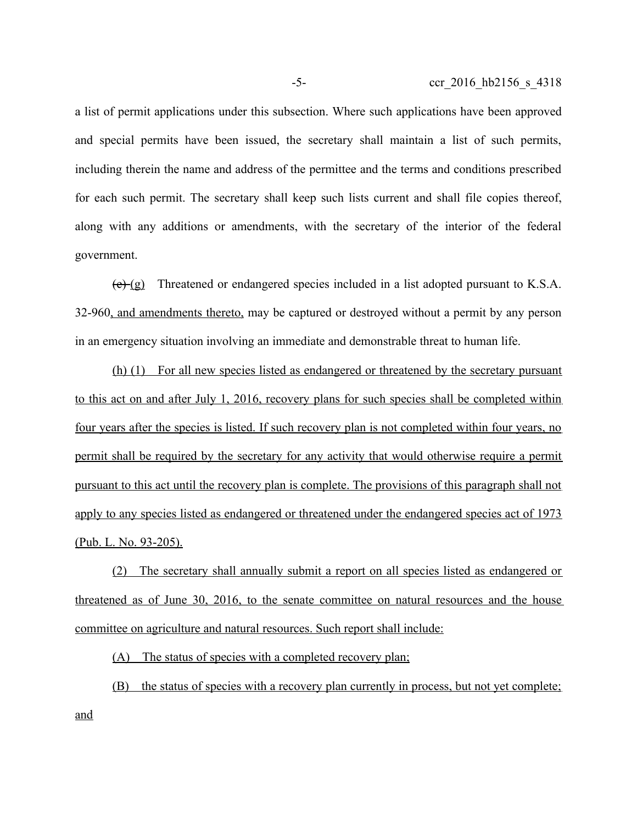a list of permit applications under this subsection. Where such applications have been approved and special permits have been issued, the secretary shall maintain a list of such permits, including therein the name and address of the permittee and the terms and conditions prescribed for each such permit. The secretary shall keep such lists current and shall file copies thereof, along with any additions or amendments, with the secretary of the interior of the federal government.

 $(e)$  (g) Threatened or endangered species included in a list adopted pursuant to K.S.A. 32-960, and amendments thereto, may be captured or destroyed without a permit by any person in an emergency situation involving an immediate and demonstrable threat to human life.

(h) (1) For all new species listed as endangered or threatened by the secretary pursuant to this act on and after July 1, 2016, recovery plans for such species shall be completed within four years after the species is listed. If such recovery plan is not completed within four years, no permit shall be required by the secretary for any activity that would otherwise require a permit pursuant to this act until the recovery plan is complete. The provisions of this paragraph shall not apply to any species listed as endangered or threatened under the endangered species act of 1973 (Pub. L. No. 93-205).

(2) The secretary shall annually submit a report on all species listed as endangered or threatened as of June 30, 2016, to the senate committee on natural resources and the house committee on agriculture and natural resources. Such report shall include:

(A) The status of species with a completed recovery plan;

(B) the status of species with a recovery plan currently in process, but not yet complete; and